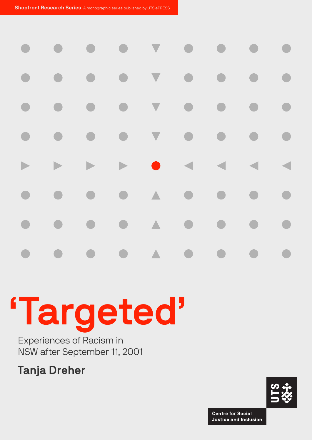|  |  |  | <b>XXX 8 4 4 4 4</b> |  |
|--|--|--|----------------------|--|
|  |  |  |                      |  |
|  |  |  |                      |  |
|  |  |  |                      |  |

# 'Targeted'

Experiences of Racism in NSW after September 11, 2001

Tanja Dreher



**Centre for Social Justice and Inclusion**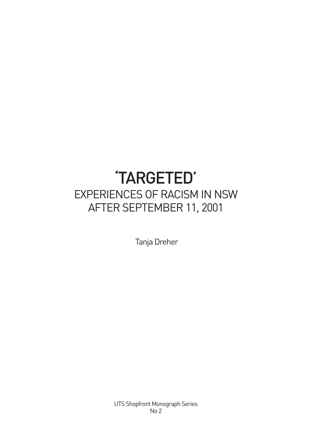## 'TARGETED' EXPERIENCES OF RACISM IN NSW AFTER SEPTEMBER 11, 2001

Tanja Dreher

UTS Shopfront Monograph Series No 2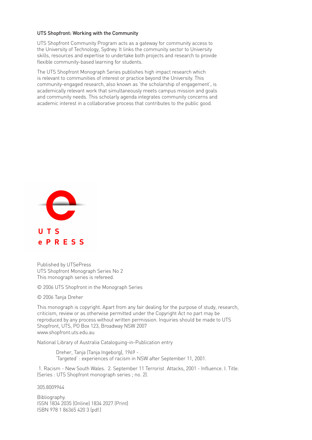#### UTS Shopfront: Working with the Community

UTS Shopfront Community Program acts as a gateway for community access to the University of Technology, Sydney. It links the community sector to University skills, resources and expertise to undertake both projects and research to provide flexible community-based learning for students.

The UTS Shopfront Monograph Series publishes high impact research which is relevant to communities of interest or practice beyond the University. This community-engaged research, also known as 'the scholarship of engagement', is academically relevant work that simultaneously meets campus mission and goals and community needs. This scholarly agenda integrates community concerns and academic interest in a collaborative process that contributes to the public good.



Published by UTSePress UTS Shopfront Monograph Series No 2 This monograph series is refereed.

© 2006 UTS Shopfront in the Monograph Series

© 2006 Tanja Dreher

This monograph is copyright. Apart from any fair dealing for the purpose of study, research, criticism, review or as otherwise permitted under the Copyright Act no part may be reproduced by any process without written permission. Inquiries should be made to UTS Shopfront, UTS, PO Box 123, Broadway NSW 2007 www.shopfront.uts.edu.au

National Library of Australia Cataloguing-in-Publication entry

Dreher, Tanja (Tanja Ingeborg), 1969 - . 'Targeted' : experiences of racism in NSW after September 11, 2001.

1. Racism - New South Wales. 2. September 11 Terrorist Attacks, 2001 - Influence. I. Title. (Series : UTS Shopfront monograph series ; no. 2).

305.8009944

Bibliography. ISSN 1834 2035 (Online) 1834 2027 (Print) ISBN 978 1 86365 420 3 (pdf.)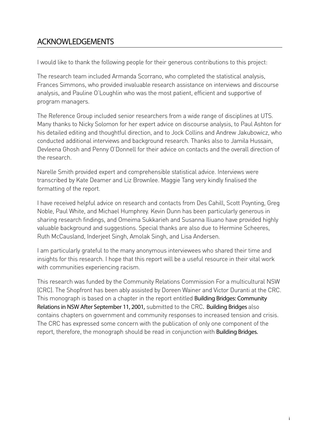## Acknowledgements

I would like to thank the following people for their generous contributions to this project:

The research team included Armanda Scorrano, who completed the statistical analysis, Frances Simmons, who provided invaluable research assistance on interviews and discourse analysis, and Pauline O'Loughlin who was the most patient, efficient and supportive of program managers.

The Reference Group included senior researchers from a wide range of disciplines at UTS. Many thanks to Nicky Solomon for her expert advice on discourse analysis, to Paul Ashton for his detailed editing and thoughtful direction, and to Jock Collins and Andrew Jakubowicz, who conducted additional interviews and background research. Thanks also to Jamila Hussain, Devleena Ghosh and Penny O'Donnell for their advice on contacts and the overall direction of the research.

Narelle Smith provided expert and comprehensible statistical advice. Interviews were transcribed by Kate Deamer and Liz Brownlee. Maggie Tang very kindly finalised the formatting of the report.

I have received helpful advice on research and contacts from Des Cahill, Scott Poynting, Greg Noble, Paul White, and Michael Humphrey. Kevin Dunn has been particularly generous in sharing research findings, and Omeima Sukkarieh and Susanna Iliuano have provided highly valuable background and suggestions. Special thanks are also due to Hermine Scheeres, Ruth McCausland, Inderjeet Singh, Amolak Singh, and Lisa Andersen.

I am particularly grateful to the many anonymous interviewees who shared their time and insights for this research. I hope that this report will be a useful resource in their vital work with communities experiencing racism.

This research was funded by the Community Relations Commission For a multicultural NSW (CRC). The Shopfront has been ably assisted by Doreen Wainer and Victor Duranti at the CRC. This monograph is based on a chapter in the report entitled Building Bridges: Community Relations in NSW After September 11, 2001, submitted to the CRC. Building Bridges also contains chapters on government and community responses to increased tension and crisis. The CRC has expressed some concern with the publication of only one component of the report, therefore, the monograph should be read in conjunction with **Building Bridges.**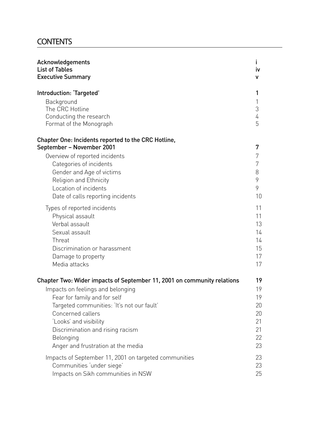## **CONTENTS**

| Acknowledgements                                                                                                                                                                                                                                                          | L                                |
|---------------------------------------------------------------------------------------------------------------------------------------------------------------------------------------------------------------------------------------------------------------------------|----------------------------------|
| <b>List of Tables</b>                                                                                                                                                                                                                                                     | iv                               |
| <b>Executive Summary</b>                                                                                                                                                                                                                                                  | ۷                                |
| Introduction: 'Targeted'                                                                                                                                                                                                                                                  | 1                                |
| Background                                                                                                                                                                                                                                                                | 1                                |
| The CRC Hotline                                                                                                                                                                                                                                                           | 3                                |
| Conducting the research                                                                                                                                                                                                                                                   | 4                                |
| Format of the Monograph                                                                                                                                                                                                                                                   | 5                                |
| <b>Chapter One: Incidents reported to the CRC Hotline,</b><br>September - November 2001<br>Overview of reported incidents<br>Categories of incidents<br>Gender and Age of victims<br>Religion and Ethnicity<br>Location of incidents<br>Date of calls reporting incidents | 7<br>7<br>7<br>8<br>9<br>9<br>10 |
| Types of reported incidents                                                                                                                                                                                                                                               | 11                               |
| Physical assault                                                                                                                                                                                                                                                          | 11                               |
| Verbal assault                                                                                                                                                                                                                                                            | 13                               |
| Sexual assault                                                                                                                                                                                                                                                            | 14                               |
| Threat                                                                                                                                                                                                                                                                    | 14                               |
| Discrimination or harassment                                                                                                                                                                                                                                              | 15                               |
| Damage to property                                                                                                                                                                                                                                                        | 17                               |
| Media attacks                                                                                                                                                                                                                                                             | 17                               |
| Chapter Two: Wider impacts of September 11, 2001 on community relations                                                                                                                                                                                                   | 19                               |
| Impacts on feelings and belonging                                                                                                                                                                                                                                         | 19                               |
| Fear for family and for self                                                                                                                                                                                                                                              | 19                               |
| Targeted communities: 'It's not our fault'                                                                                                                                                                                                                                | 20                               |
| Concerned callers                                                                                                                                                                                                                                                         | 20                               |
| 'Looks' and visibility                                                                                                                                                                                                                                                    | 21                               |
| Discrimination and rising racism                                                                                                                                                                                                                                          | 21                               |
| Belonging                                                                                                                                                                                                                                                                 | 22                               |
| Anger and frustration at the media                                                                                                                                                                                                                                        | 23                               |
| Impacts of September 11, 2001 on targeted communities                                                                                                                                                                                                                     | 23                               |
| Communities 'under siege'                                                                                                                                                                                                                                                 | 23                               |
| Impacts on Sikh communities in NSW                                                                                                                                                                                                                                        | 25                               |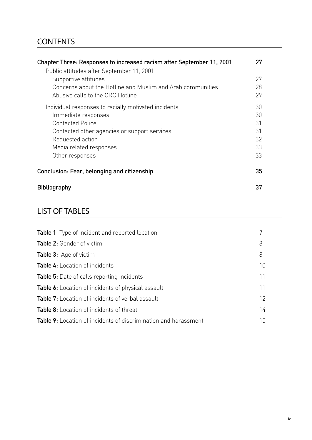## **CONTENTS**

| Chapter Three: Responses to increased racism after September 11, 2001                                                                                                                                                    | 27                                     |
|--------------------------------------------------------------------------------------------------------------------------------------------------------------------------------------------------------------------------|----------------------------------------|
| Public attitudes after September 11, 2001<br>Supportive attitudes<br>Concerns about the Hotline and Muslim and Arab communities<br>Abusive calls to the CRC Hotline                                                      | 27<br>28<br>29                         |
| Individual responses to racially motivated incidents<br>Immediate responses<br><b>Contacted Police</b><br>Contacted other agencies or support services<br>Requested action<br>Media related responses<br>Other responses | 30<br>30<br>31<br>31<br>32<br>33<br>33 |
| Conclusion: Fear, belonging and citizenship                                                                                                                                                                              | 35                                     |
| <b>Bibliography</b>                                                                                                                                                                                                      | 37                                     |

## list of tables

| <b>Table 1:</b> Type of incident and reported location                 |    |
|------------------------------------------------------------------------|----|
| <b>Table 2:</b> Gender of victim                                       | 8  |
| Table 3: Age of victim                                                 | 8  |
| <b>Table 4:</b> Location of incidents                                  | 10 |
| <b>Table 5:</b> Date of calls reporting incidents                      | 11 |
| <b>Table 6:</b> Location of incidents of physical assault              | 11 |
| <b>Table 7:</b> Location of incidents of verbal assault                | 12 |
| Table 8: Location of incidents of threat                               | 14 |
| <b>Table 9:</b> Location of incidents of discrimination and harassment | 15 |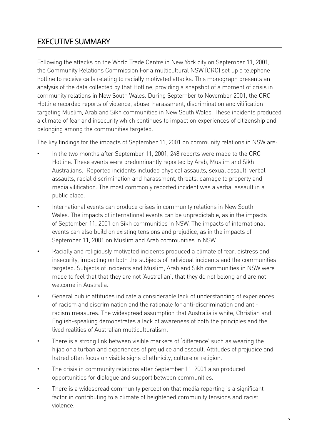## Executive Summary

Following the attacks on the World Trade Centre in New York city on September 11, 2001, the Community Relations Commission For a multicultural NSW (CRC) set up a telephone hotline to receive calls relating to racially motivated attacks. This monograph presents an analysis of the data collected by that Hotline, providing a snapshot of a moment of crisis in community relations in New South Wales. During September to November 2001, the CRC Hotline recorded reports of violence, abuse, harassment, discrimination and vilification targeting Muslim, Arab and Sikh communities in New South Wales. These incidents produced a climate of fear and insecurity which continues to impact on experiences of citizenship and belonging among the communities targeted.

The key findings for the impacts of September 11, 2001 on community relations in NSW are:

- In the two months after September 11, 2001, 248 reports were made to the CRC Hotline. These events were predominantly reported by Arab, Muslim and Sikh Australians. Reported incidents included physical assaults, sexual assault, verbal assaults, racial discrimination and harassment, threats, damage to property and media vilification. The most commonly reported incident was a verbal assault in a public place.
- International events can produce crises in community relations in New South Wales. The impacts of international events can be unpredictable, as in the impacts of September 11, 2001 on Sikh communities in NSW. The impacts of international events can also build on existing tensions and prejudice, as in the impacts of September 11, 2001 on Muslim and Arab communities in NSW.
- Racially and religiously motivated incidents produced a climate of fear, distress and insecurity, impacting on both the subjects of individual incidents and the communities targeted. Subjects of incidents and Muslim, Arab and Sikh communities in NSW were made to feel that that they are not 'Australian', that they do not belong and are not welcome in Australia.
- General public attitudes indicate a considerable lack of understanding of experiences of racism and discrimination and the rationale for anti-discrimination and antiracism measures. The widespread assumption that Australia is white, Christian and English-speaking demonstrates a lack of awareness of both the principles and the lived realities of Australian multiculturalism.
- There is a strong link between visible markers of 'difference' such as wearing the hijab or a turban and experiences of prejudice and assault. Attitudes of prejudice and hatred often focus on visible signs of ethnicity, culture or religion.
- The crisis in community relations after September 11, 2001 also produced opportunities for dialogue and support between communities.
- There is a widespread community perception that media reporting is a significant factor in contributing to a climate of heightened community tensions and racist violence.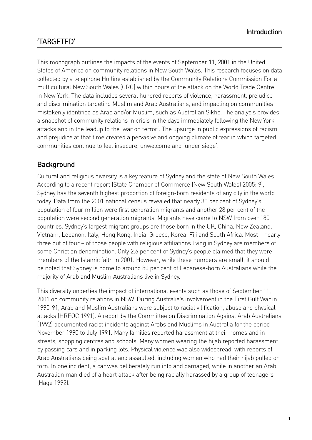## 'TARGETED'

This monograph outlines the impacts of the events of September 11, 2001 in the United States of America on community relations in New South Wales. This research focuses on data collected by a telephone Hotline established by the Community Relations Commission For a multicultural New South Wales (CRC) within hours of the attack on the World Trade Centre in New York. The data includes several hundred reports of violence, harassment, prejudice and discrimination targeting Muslim and Arab Australians, and impacting on communities mistakenly identified as Arab and/or Muslim, such as Australian Sikhs. The analysis provides a snapshot of community relations in crisis in the days immediately following the New York attacks and in the leadup to the 'war on terror'. The upsurge in public expressions of racism and prejudice at that time created a pervasive and ongoing climate of fear in which targeted communities continue to feel insecure, unwelcome and 'under siege'.

#### **Background**

Cultural and religious diversity is a key feature of Sydney and the state of New South Wales. According to a recent report (State Chamber of Commerce (New South Wales) 2005: 9), Sydney has the seventh highest proportion of foreign-born residents of any city in the world today. Data from the 2001 national census revealed that nearly 30 per cent of Sydney's population of four million were first generation migrants and another 28 per cent of the population were second generation migrants. Migrants have come to NSW from over 180 countries. Sydney's largest migrant groups are those born in the UK, China, New Zealand, Vietnam, Lebanon, Italy, Hong Kong, India, Greece, Korea, Fiji and South Africa. Most – nearly three out of four – of those people with religious affiliations living in Sydney are members of some Christian denomination. Only 2.6 per cent of Sydney's people claimed that they were members of the Islamic faith in 2001. However, while these numbers are small, it should be noted that Sydney is home to around 80 per cent of Lebanese-born Australians while the majority of Arab and Muslim Australians live in Sydney.

This diversity underlies the impact of international events such as those of September 11, 2001 on community relations in NSW. During Australia's involvement in the First Gulf War in 1990-91, Arab and Muslim Australians were subject to racial vilification, abuse and physical attacks (HREOC 1991). A report by the Committee on Discrimination Against Arab Australians (1992) documented racist incidents against Arabs and Muslims in Australia for the period November 1990 to July 1991. Many families reported harassment at their homes and in streets, shopping centres and schools. Many women wearing the hijab reported harassment by passing cars and in parking lots. Physical violence was also widespread, with reports of Arab Australians being spat at and assaulted, including women who had their hijab pulled or torn. In one incident, a car was deliberately run into and damaged, while in another an Arab Australian man died of a heart attack after being racially harassed by a group of teenagers (Hage 1992).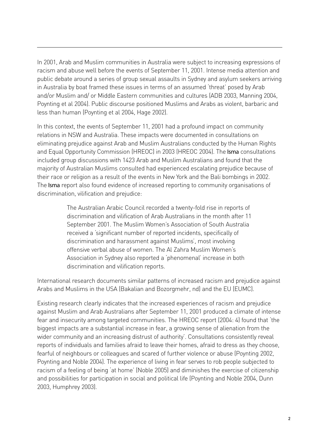In 2001, Arab and Muslim communities in Australia were subject to increasing expressions of racism and abuse well before the events of September 11, 2001. Intense media attention and public debate around a series of group sexual assaults in Sydney and asylum seekers arriving in Australia by boat framed these issues in terms of an assumed 'threat' posed by Arab and/or Muslim and/ or Middle Eastern communities and cultures (ADB 2003, Manning 2004, Poynting et al 2004). Public discourse positioned Muslims and Arabs as violent, barbaric and less than human (Poynting et al 2004, Hage 2002).

In this context, the events of September 11, 2001 had a profound impact on community relations in NSW and Australia. These impacts were documented in consultations on eliminating prejudice against Arab and Muslim Australians conducted by the Human Rights and Equal Opportunity Commission (HREOC) in 2003 (HREOC 2004). The Isma consultations included group discussions with 1423 Arab and Muslim Australians and found that the majority of Australian Muslims consulted had experienced escalating prejudice because of their race or religion as a result of the events in New York and the Bali bombings in 2002. The Isma report also found evidence of increased reporting to community organisations of discrimination, vilification and prejudice:

> The Australian Arabic Council recorded a twenty-fold rise in reports of discrimination and vilification of Arab Australians in the month after 11 September 2001. The Muslim Women's Association of South Australia received a 'significant number of reported incidents, specifically of discrimination and harassment against Muslims', most involving offensive verbal abuse of women. The Al Zahra Muslim Women's Association in Sydney also reported a 'phenomenal' increase in both discrimination and vilification reports.

International research documents similar patterns of increased racism and prejudice against Arabs and Muslims in the USA (Bakalian and Bozorgmehr, nd) and the EU (EUMC).

Existing research clearly indicates that the increased experiences of racism and prejudice against Muslim and Arab Australians after September 11, 2001 produced a climate of intense fear and insecurity among targeted communities. The HREOC report (2004: 4) found that 'the biggest impacts are a substantial increase in fear, a growing sense of alienation from the wider community and an increasing distrust of authority'. Consultations consistently reveal reports of individuals and families afraid to leave their homes, afraid to dress as they choose, fearful of neighbours or colleagues and scared of further violence or abuse (Poynting 2002, Poynting and Noble 2004). The experience of living in fear serves to rob people subjected to racism of a feeling of being 'at home' (Noble 2005) and diminishes the exercise of citizenship and possibilities for participation in social and political life (Poynting and Noble 2004, Dunn 2003, Humphrey 2003).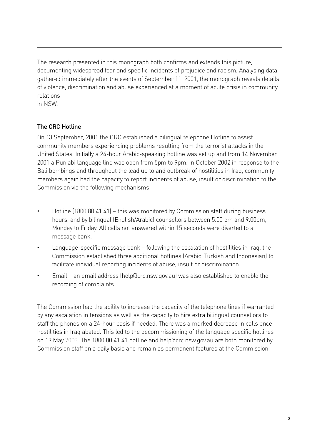The research presented in this monograph both confirms and extends this picture, documenting widespread fear and specific incidents of prejudice and racism. Analysing data gathered immediately after the events of September 11, 2001, the monograph reveals details of violence, discrimination and abuse experienced at a moment of acute crisis in community relations

in NSW.

#### The CRC Hotline

On 13 September, 2001 the CRC established a bilingual telephone Hotline to assist community members experiencing problems resulting from the terrorist attacks in the United States. Initially a 24-hour Arabic-speaking hotline was set up and from 14 November 2001 a Punjabi language line was open from 5pm to 9pm. In October 2002 in response to the Bali bombings and throughout the lead up to and outbreak of hostilities in Iraq, community members again had the capacity to report incidents of abuse, insult or discrimination to the Commission via the following mechanisms:

- Hotline (1800 80 41 41) this was monitored by Commission staff during business hours, and by bilingual (English/Arabic) counsellors between 5.00 pm and 9.00pm, Monday to Friday. All calls not answered within 15 seconds were diverted to a message bank.
- Language-specific message bank following the escalation of hostilities in Iraq, the Commission established three additional hotlines (Arabic, Turkish and Indonesian) to facilitate individual reporting incidents of abuse, insult or discrimination.
- Email an email address (help@crc.nsw.gov.au) was also established to enable the recording of complaints.

The Commission had the ability to increase the capacity of the telephone lines if warranted by any escalation in tensions as well as the capacity to hire extra bilingual counsellors to staff the phones on a 24-hour basis if needed. There was a marked decrease in calls once hostilities in Iraq abated. This led to the decommissioning of the language specific hotlines on 19 May 2003. The 1800 80 41 41 hotline and help@crc.nsw.gov.au are both monitored by Commission staff on a daily basis and remain as permanent features at the Commission.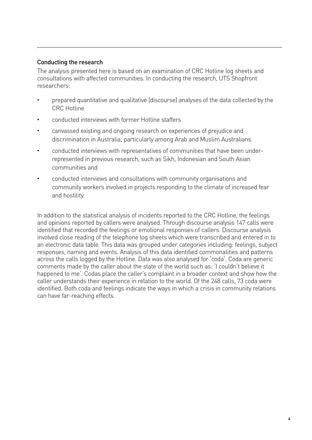#### Conducting the research

The analysis presented here is based on an examination of CRC Hotline log sheets and consultations with affected communities. In conducting the research, UTS Shopfront researchers:

- prepared quantitative and qualitative (discourse) analyses of the data collected by the CRC Hotline
- conducted interviews with former Hotline staffers
- canvassed existing and ongoing research on experiences of prejudice and discrimination in Australia, particularly among Arab and Muslim Australians
- conducted interviews with representatives of communities that have been underrepresented in previous research, such as Sikh, Indonesian and South Asian communities and
- conducted interviews and consultations with community organisations and community workers involved in projects responding to the climate of increased fear and hostility.

In addition to the statistical analysis of incidents reported to the CRC Hotline, the feelings and opinions reported by callers were analysed. Through discourse analysis 147 calls were identified that recorded the feelings or emotional responses of callers. Discourse analysis involved close reading of the telephone log sheets which were transcribed and entered in to an electronic data table. This data was grouped under categories including: feelings, subject responses, naming and events. Analysis of this data identified commonalities and patterns across the calls logged by the Hotline. Data was also analysed for 'coda'. Coda are generic comments made by the caller about the state of the world such as: 'I couldn't believe it happened to me'. Codas place the caller's complaint in a broader context and show how the caller understands their experience in relation to the world. Of the 248 calls, 73 coda were identified. Both coda and feelings indicate the ways in which a crisis in community relations can have far-reaching effects.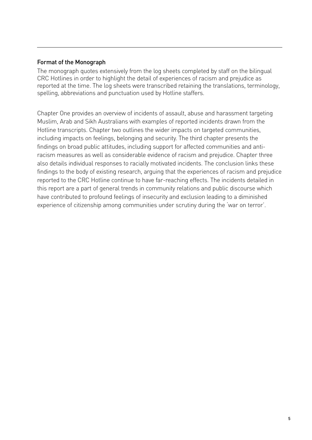#### Format of the Monograph

The monograph quotes extensively from the log sheets completed by staff on the bilingual CRC Hotlines in order to highlight the detail of experiences of racism and prejudice as reported at the time. The log sheets were transcribed retaining the translations, terminology, spelling, abbreviations and punctuation used by Hotline staffers.

Chapter One provides an overview of incidents of assault, abuse and harassment targeting Muslim, Arab and Sikh Australians with examples of reported incidents drawn from the Hotline transcripts. Chapter two outlines the wider impacts on targeted communities, including impacts on feelings, belonging and security. The third chapter presents the findings on broad public attitudes, including support for affected communities and antiracism measures as well as considerable evidence of racism and prejudice. Chapter three also details individual responses to racially motivated incidents. The conclusion links these findings to the body of existing research, arguing that the experiences of racism and prejudice reported to the CRC Hotline continue to have far-reaching effects. The incidents detailed in this report are a part of general trends in community relations and public discourse which have contributed to profound feelings of insecurity and exclusion leading to a diminished experience of citizenship among communities under scrutiny during the 'war on terror'.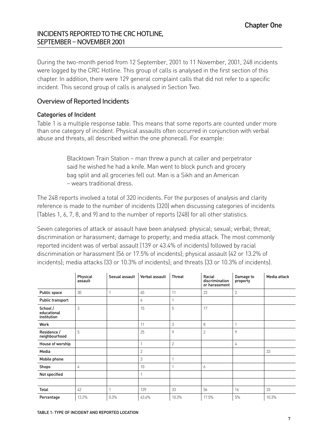#### Incidents reported to the CRCHotline, September – November 2001

During the two-month period from 12 September, 2001 to 11 November, 2001, 248 incidents were logged by the CRC Hotline. This group of calls is analysed in the first section of this chapter. In addition, there were 129 general complaint calls that did not refer to a specific incident. This second group of calls is analysed in Section Two.

#### Overview of Reported Incidents

#### Categories of Incident

Table 1 is a multiple response table. This means that some reports are counted under more than one category of incident. Physical assaults often occurred in conjunction with verbal abuse and threats, all described within the one phonecall. For example:

> Blacktown Train Station – man threw a punch at caller and perpetrator said he wished he had a knife. Man went to block punch and grocery bag split and all groceries fell out. Man is a Sikh and an American – wears traditional dress.

The 248 reports involved a total of 320 incidents. For the purposes of analysis and clarity reference is made to the number of incidents (320) when discussing categories of incidents (Tables 1, 6, 7, 8, and 9) and to the number of reports (248) for all other statistics.

Seven categories of attack or assault have been analysed: physical; sexual; verbal; threat; discrimination or harassment; damage to property; and media attack. The most commonly reported incident was of verbal assault (139 or 43.4% of incidents) followed by racial discrimination or harassment (56 or 17.5% of incidents); physical assault (42 or 13.2% of incidents); media attacks (33 or 10.3% of incidents); and threats (33 or 10.3% of incidents).

|                                        | Physical<br>assault | Sexual assault | Verbal assault | <b>Threat</b> | Racial<br>discrimination<br>or harassment | Damage to<br>property | Media attack |
|----------------------------------------|---------------------|----------------|----------------|---------------|-------------------------------------------|-----------------------|--------------|
| Public space                           | 30                  |                | 65             | 11            | 23                                        | $\mathbf{2}$          |              |
| Public transport                       |                     |                | 6              |               |                                           |                       |              |
| School /<br>educational<br>institution | 3                   |                | 15             | 5             | 17                                        |                       |              |
| Work                                   |                     |                | 11             | 3             | 8                                         |                       |              |
| Residence /<br>neighbourhood           | 5                   |                | 25             | 9             | $\overline{2}$                            | 9                     |              |
| House of worship                       |                     |                | 1              | $\mathbf{2}$  |                                           | 4                     |              |
| Media                                  |                     |                | $\overline{2}$ |               |                                           |                       | 33           |
| Mobile phone                           |                     |                | 3              |               |                                           |                       |              |
| <b>Shops</b>                           | 4                   |                | 10             |               | 6                                         |                       |              |
| Not specified                          |                     |                | 1              |               |                                           |                       |              |
|                                        |                     |                |                |               |                                           |                       |              |
| Total                                  | 42                  |                | 139            | 33            | 56                                        | 16                    | 33           |
| Percentage                             | 13.2%               | 0.3%           | 43.4%          | 10.3%         | 17.5%                                     | 5%                    | 10.3%        |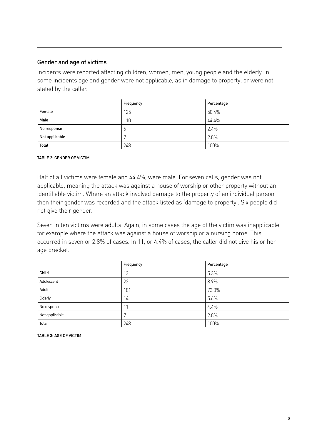#### Gender and age of victims

Incidents were reported affecting children, women, men, young people and the elderly. In some incidents age and gender were not applicable, as in damage to property, or were not stated by the caller.

|                | Frequency | Percentage |
|----------------|-----------|------------|
| Female         | 125       | 50.4%      |
| Male           | 110       | 44.4%      |
| No response    | O         | 2.4%       |
| Not applicable | ┍         | 2.8%       |
| <b>Total</b>   | 248       | 100%       |

#### Table 2: Gender of victim

Half of all victims were female and 44.4%, were male. For seven calls, gender was not applicable, meaning the attack was against a house of worship or other property without an identifiable victim. Where an attack involved damage to the property of an individual person, then their gender was recorded and the attack listed as 'damage to property'. Six people did not give their gender.

Seven in ten victims were adults. Again, in some cases the age of the victim was inapplicable, for example where the attack was against a house of worship or a nursing home. This occurred in seven or 2.8% of cases. In 11, or 4.4% of cases, the caller did not give his or her age bracket.

|                | Frequency    | Percentage |
|----------------|--------------|------------|
| Child          | 13           | 5.3%       |
| Adolescent     | 22           | 8.9%       |
| Adult          | 181          | 73.0%      |
| Elderly        | 14           | 5.6%       |
| No response    | 11           | 4.4%       |
| Not applicable | $\mathbf{r}$ | 2.8%       |
| Total          | 248          | 100%       |

Table 3: Age of victim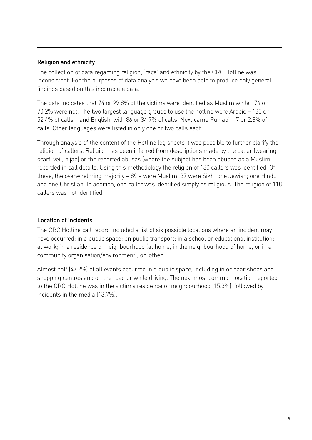#### Religion and ethnicity

The collection of data regarding religion, 'race' and ethnicity by the CRC Hotline was inconsistent. For the purposes of data analysis we have been able to produce only general findings based on this incomplete data.

The data indicates that 74 or 29.8% of the victims were identified as Muslim while 174 or 70.2% were not. The two largest language groups to use the hotline were Arabic – 130 or 52.4% of calls – and English, with 86 or 34.7% of calls. Next came Punjabi – 7 or 2.8% of calls. Other languages were listed in only one or two calls each.

Through analysis of the content of the Hotline log sheets it was possible to further clarify the religion of callers. Religion has been inferred from descriptions made by the caller (wearing scarf, veil, hijab) or the reported abuses (where the subject has been abused as a Muslim) recorded in call details. Using this methodology the religion of 130 callers was identified. Of these, the overwhelming majority – 89 – were Muslim; 37 were Sikh; one Jewish; one Hindu and one Christian. In addition, one caller was identified simply as religious. The religion of 118 callers was not identified.

#### Location of incidents

The CRC Hotline call record included a list of six possible locations where an incident may have occurred: in a public space; on public transport; in a school or educational institution; at work; in a residence or neighbourhood (at home, in the neighbourhood of home, or in a community organisation/environment); or 'other'.

Almost half (47.2%) of all events occurred in a public space, including in or near shops and shopping centres and on the road or while driving. The next most common location reported to the CRC Hotline was in the victim's residence or neighbourhood (15.3%), followed by incidents in the media (13.7%).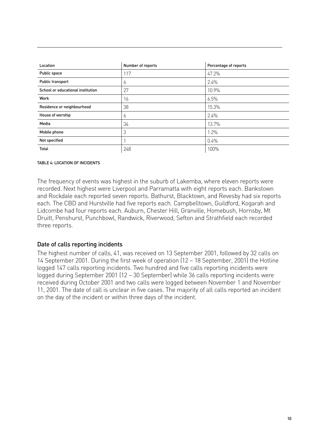| Location                          | Number of reports | Percentage of reports |
|-----------------------------------|-------------------|-----------------------|
| Public space                      | 117               | 47.2%                 |
| Public transport                  | 6                 | 2.4%                  |
| School or educational institution | 27                | 10.9%                 |
| Work                              | 16                | 6.5%                  |
| Residence or neighbourhood        | 38                | 15.3%                 |
| House of worship                  | 6                 | 2.4%                  |
| Media                             | 34                | 13.7%                 |
| Mobile phone                      | 3                 | 1.2%                  |
| Not specified                     |                   | 0.4%                  |
| Total                             | 248               | 100%                  |

#### Table 4: Location of incidents

The frequency of events was highest in the suburb of Lakemba, where eleven reports were recorded. Next highest were Liverpool and Parramatta with eight reports each. Bankstown and Rockdale each reported seven reports. Bathurst, Blacktown, and Revesby had six reports each. The CBD and Hurstville had five reports each. Campbelltown, Guildford, Kogarah and Lidcombe had four reports each. Auburn, Chester Hill, Granville, Homebush, Hornsby, Mt Druitt, Penshurst, Punchbowl, Randwick, Riverwood, Sefton and Strathfield each recorded three reports.

#### Date of calls reporting incidents

The highest number of calls, 41, was received on 13 September 2001, followed by 32 calls on 14 September 2001. During the first week of operation (12 – 18 September, 2001) the Hotline logged 147 calls reporting incidents. Two hundred and five calls reporting incidents were logged during September 2001 (12 – 30 September) while 36 calls reporting incidents were received during October 2001 and two calls were logged between November 1 and November 11, 2001. The date of call is unclear in five cases. The majority of all calls reported an incident on the day of the incident or within three days of the incident.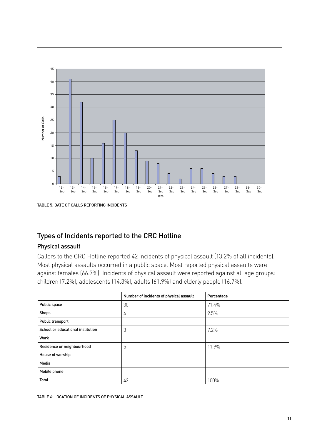



#### Types of Incidents reported to the CRC Hotline

#### Physical assault

Callers to the CRC Hotline reported 42 incidents of physical assault (13.2% of all incidents). Most physical assaults occurred in a public space. Most reported physical assaults were against females (66.7%). Incidents of physical assault were reported against all age groups: children (7.2%), adolescents (14.3%), adults (61.9%) and elderly people (16.7%).

|                                   | Number of incidents of physical assault | Percentage |
|-----------------------------------|-----------------------------------------|------------|
| Public space                      | 30                                      | 71.4%      |
| Shops                             | 4                                       | 9.5%       |
| Public transport                  |                                         |            |
| School or educational institution | 3                                       | 7.2%       |
| Work                              |                                         |            |
| Residence or neighbourhood        | 5                                       | 11.9%      |
| House of worship                  |                                         |            |
| Media                             |                                         |            |
| Mobile phone                      |                                         |            |
| <b>Total</b>                      | 42                                      | 100%       |

TABLE 6: LOCATION OF INCIDENTS OF PHYSICAL ASSAULT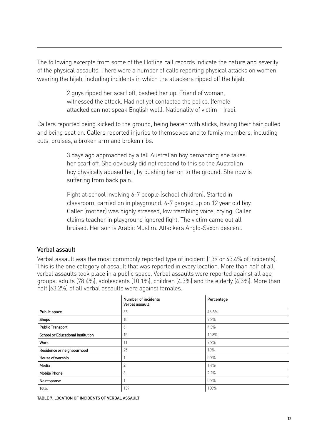The following excerpts from some of the Hotline call records indicate the nature and severity of the physical assaults. There were a number of calls reporting physical attacks on women wearing the hijab, including incidents in which the attackers ripped off the hijab.

> 2 guys ripped her scarf off, bashed her up. Friend of woman, witnessed the attack. Had not yet contacted the police. (female attacked can not speak English well). Nationality of victim – Iraqi.

Callers reported being kicked to the ground, being beaten with sticks, having their hair pulled and being spat on. Callers reported injuries to themselves and to family members, including cuts, bruises, a broken arm and broken ribs.

> 3 days ago approached by a tall Australian boy demanding she takes her scarf off. She obviously did not respond to this so the Australian boy physically abused her, by pushing her on to the ground. She now is suffering from back pain.

> Fight at school involving 6-7 people (school children). Started in classroom, carried on in playground. 6-7 ganged up on 12 year old boy. Caller (mother) was highly stressed, low trembling voice, crying. Caller claims teacher in playground ignored fight. The victim came out all bruised. Her son is Arabic Muslim. Attackers Anglo-Saxon descent.

#### Verbal assault

Verbal assault was the most commonly reported type of incident (139 or 43.4% of incidents). This is the one category of assault that was reported in every location. More than half of all verbal assaults took place in a public space. Verbal assaults were reported against all age groups: adults (78.4%), adolescents (10.1%), children (4.3%) and the elderly (4.3%). More than half (63.2%) of all verbal assaults were against females.

|                                          | Number of incidents<br>Verbal assault | Percentage |
|------------------------------------------|---------------------------------------|------------|
| Public space                             | 65                                    | 46.8%      |
| <b>Shops</b>                             | 10                                    | 7.2%       |
| <b>Public Transport</b>                  | 6                                     | 4.3%       |
| <b>School or Educational Institution</b> | 15                                    | 10.8%      |
| Work                                     | 11                                    | 7.9%       |
| Residence or neighbourhood               | 25                                    | 18%        |
| House of worship                         |                                       | 0.7%       |
| Media                                    | $\overline{2}$                        | 1.4%       |
| <b>Mobile Phone</b>                      | 3                                     | 2.2%       |
| No response                              |                                       | 0.7%       |
| <b>Total</b>                             | 139                                   | 100%       |

Table 7: Location of incidents verbal assault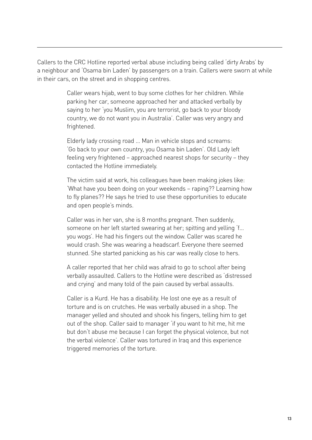Callers to the CRC Hotline reported verbal abuse including being called 'dirty Arabs' by a neighbour and 'Osama bin Laden' by passengers on a train. Callers were sworn at while in their cars, on the street and in shopping centres.

> Caller wears hijab, went to buy some clothes for her children. While parking her car, someone approached her and attacked verbally by saying to her 'you Muslim, you are terrorist, go back to your bloody country, we do not want you in Australia'. Caller was very angry and frightened.

Elderly lady crossing road … Man in vehicle stops and screams: 'Go back to your own country, you Osama bin Laden'. Old Lady left feeling very frightened – approached nearest shops for security – they contacted the Hotline immediately.

The victim said at work, his colleagues have been making jokes like: 'What have you been doing on your weekends – raping?? Learning how to fly planes?? He says he tried to use these opportunities to educate and open people's minds.

Caller was in her van, she is 8 months pregnant. Then suddenly, someone on her left started swearing at her; spitting and yelling 'f… you wogs'. He had his fingers out the window. Caller was scared he would crash. She was wearing a headscarf. Everyone there seemed stunned. She started panicking as his car was really close to hers.

A caller reported that her child was afraid to go to school after being verbally assaulted. Callers to the Hotline were described as 'distressed and crying' and many told of the pain caused by verbal assaults.

Caller is a Kurd. He has a disability. He lost one eye as a result of torture and is on crutches. He was verbally abused in a shop. The manager yelled and shouted and shook his fingers, telling him to get out of the shop. Caller said to manager 'if you want to hit me, hit me but don't abuse me because I can forget the physical violence, but not the verbal violence'. Caller was tortured in Iraq and this experience triggered memories of the torture.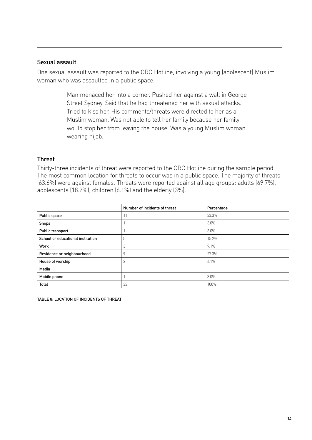#### Sexual assault

One sexual assault was reported to the CRC Hotline, involving a young (adolescent) Muslim woman who was assaulted in a public space.

> Man menaced her into a corner. Pushed her against a wall in George Street Sydney. Said that he had threatened her with sexual attacks. Tried to kiss her. His comments/threats were directed to her as a Muslim woman. Was not able to tell her family because her family would stop her from leaving the house. Was a young Muslim woman wearing hijab.

#### **Threat**

Thirty-three incidents of threat were reported to the CRC Hotline during the sample period. The most common location for threats to occur was in a public space. The majority of threats (63.6%) were against females. Threats were reported against all age groups: adults (69.7%), adolescents (18.2%), children (6.1%) and the elderly (3%).

|                                   | Number of incidents of threat | Percentage |
|-----------------------------------|-------------------------------|------------|
| Public space                      | 11                            | 33.3%      |
| <b>Shops</b>                      |                               | 3.0%       |
| Public transport                  |                               | 3.0%       |
| School or educational institution | 5                             | 15.2%      |
| Work                              | 3                             | 9.1%       |
| Residence or neighbourhood        | 9                             | 27.3%      |
| House of worship                  | $\overline{2}$                | 6.1%       |
| Media                             |                               |            |
| Mobile phone                      |                               | 3.0%       |
| <b>Total</b>                      | 33                            | 100%       |

TABLE 8: LOCATION OF INCIDENTS OF THREAT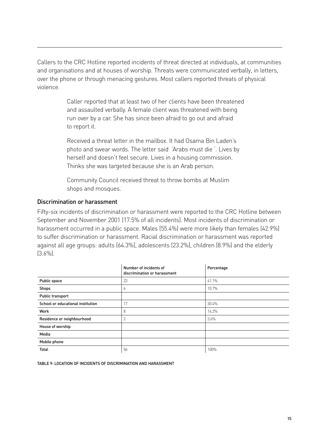Callers to the CRC Hotline reported incidents of threat directed at individuals, at communities and organisations and at houses of worship. Threats were communicated verbally, in letters, over the phone or through menacing gestures. Most callers reported threats of physical violence.

> Caller reported that at least two of her clients have been threatened and assaulted verbally. A female client was threatened with being run over by a car. She has since been afraid to go out and afraid to report it.

Received a threat letter in the mailbox. It had Osama Bin Laden's photo and swear words. The letter said 'Arabs must die '. Lives by herself and doesn't feel secure. Lives in a housing commission. Thinks she was targeted because she is an Arab person.

Community Council received threat to throw bombs at Muslim shops and mosques.

#### Discrimination or harassment

Fifty-six incidents of discrimination or harassment were reported to the CRC Hotline between September and November 2001 (17.5% of all incidents). Most incidents of discrimination or harassment occurred in a public space. Males (55.4%) were more likely than females (42.9%) to suffer discrimination or harassment. Racial discrimination or harassment was reported against all age groups: adults (64.3%), adolescents (23.2%), children (8.9%) and the elderly (3.6%).

|                                   | Number of incidents of<br>discrimination or harassment | Percentage |
|-----------------------------------|--------------------------------------------------------|------------|
| Public space                      | 23                                                     | 41.1%      |
| Shops                             | Ó                                                      | 10.7%      |
| Public transport                  |                                                        |            |
| School or educational institution | 17                                                     | 30.4%      |
| Work                              | 8                                                      | 14.2%      |
| Residence or neighbourhood        | $\overline{2}$                                         | 3.6%       |
| House of worship                  |                                                        |            |
| Media                             |                                                        |            |
| Mobile phone                      |                                                        |            |
| <b>Total</b>                      | 56                                                     | 100%       |

TABLE 9: LOCATION OF INCIDENTS OF DISCRIMINATION AND HARASSMENT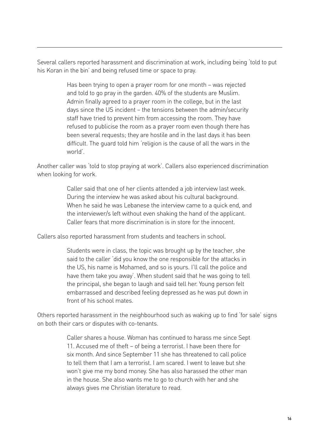Several callers reported harassment and discrimination at work, including being 'told to put his Koran in the bin' and being refused time or space to pray.

> Has been trying to open a prayer room for one month – was rejected and told to go pray in the garden. 40% of the students are Muslim. Admin finally agreed to a prayer room in the college, but in the last days since the US incident – the tensions between the admin/security staff have tried to prevent him from accessing the room. They have refused to publicise the room as a prayer room even though there has been several requests; they are hostile and in the last days it has been difficult. The guard told him 'religion is the cause of all the wars in the world'.

Another caller was 'told to stop praying at work'. Callers also experienced discrimination when looking for work.

> Caller said that one of her clients attended a job interview last week. During the interview he was asked about his cultural background. When he said he was Lebanese the interview came to a quick end, and the interviewer/s left without even shaking the hand of the applicant. Caller fears that more discrimination is in store for the innocent.

Callers also reported harassment from students and teachers in school.

Students were in class, the topic was brought up by the teacher, she said to the caller 'did you know the one responsible for the attacks in the US, his name is Mohamed, and so is yours. I'll call the police and have them take you away'. When student said that he was going to tell the principal, she began to laugh and said tell her. Young person felt embarrassed and described feeling depressed as he was put down in front of his school mates.

Others reported harassment in the neighbourhood such as waking up to find 'for sale' signs on both their cars or disputes with co-tenants.

> Caller shares a house. Woman has continued to harass me since Sept 11. Accused me of theft – of being a terrorist. I have been there for six month. And since September 11 she has threatened to call police to tell them that I am a terrorist. I am scared. I went to leave but she won't give me my bond money. She has also harassed the other man in the house. She also wants me to go to church with her and she always gives me Christian literature to read.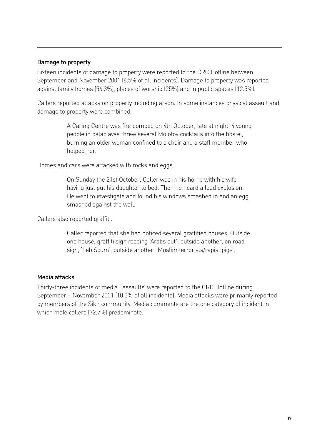#### Damage to property

Sixteen incidents of damage to property were reported to the CRC Hotline between September and November 2001 (6.5% of all incidents). Damage to property was reported against family homes (56.3%), places of worship (25%) and in public spaces (12.5%).

Callers reported attacks on property including arson. In some instances physical assault and damage to property were combined.

> A Caring Centre was fire bombed on 4th October, late at night. 4 young people in balaclavas threw several Molotov cocktails into the hostel, burning an older woman confined to a chair and a staff member who helped her.

Homes and cars were attacked with rocks and eggs.

On Sunday the 21st October, Caller was in his home with his wife having just put his daughter to bed. Then he heard a loud explosion. He went to investigate and found his windows smashed in and an egg smashed against the wall.

Callers also reported graffiti.

Caller reported that she had noticed several graffitied houses. Outside one house, graffiti sign reading 'Arabs out'; outside another, on road sign, 'Leb Scum', outside another 'Muslim terrorists/rapist pigs'.

#### Media attacks

Thirty-three incidents of media 'assaults' were reported to the CRC Hotline during September – November 2001 (10.3% of all incidents). Media attacks were primarily reported by members of the Sikh community. Media comments are the one category of incident in which male callers (72.7%) predominate.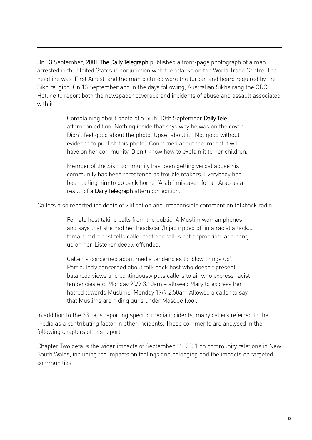On 13 September, 2001 The Daily Telegraph published a front-page photograph of a man arrested in the United States in conjunction with the attacks on the World Trade Centre. The headline was 'First Arrest' and the man pictured wore the turban and beard required by the Sikh religion. On 13 September and in the days following, Australian Sikhs rang the CRC Hotline to report both the newspaper coverage and incidents of abuse and assault associated with it.

> Complaining about photo of a Sikh. 13th September Daily Tele afternoon edition. Nothing inside that says why he was on the cover. Didn't feel good about the photo. Upset about it. 'Not good without evidence to publish this photo'. Concerned about the impact it will have on her community. Didn't know how to explain it to her children.

Member of the Sikh community has been getting verbal abuse his community has been threatened as trouble makers. Everybody has been telling him to go back home 'Arab ' mistaken for an Arab as a result of a Daily Telegraph afternoon edition.

Callers also reported incidents of vilification and irresponsible comment on talkback radio.

Female host taking calls from the public: A Muslim woman phones and says that she had her headscarf/hijab ripped off in a racial attack… female radio host tells caller that her call is not appropriate and hang up on her. Listener deeply offended.

Caller is concerned about media tendencies to 'blow things up'. Particularly concerned about talk back host who doesn't present balanced views and continuously puts callers to air who express racist tendencies etc: Monday 20/9 3.10am – allowed Mary to express her hatred towards Muslims. Monday 17/9 2.50am Allowed a caller to say that Muslims are hiding guns under Mosque floor.

In addition to the 33 calls reporting specific media incidents, many callers referred to the media as a contributing factor in other incidents. These comments are analysed in the following chapters of this report.

Chapter Two details the wider impacts of September 11, 2001 on community relations in New South Wales, including the impacts on feelings and belonging and the impacts on targeted communities.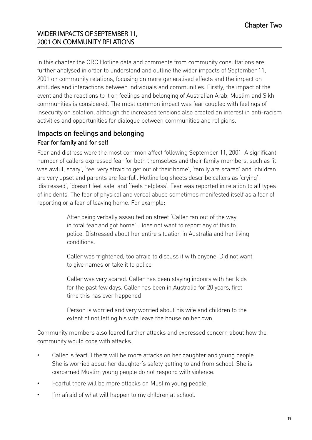#### Wider impacts of September 11, 2001 on community relations

In this chapter the CRC Hotline data and comments from community consultations are further analysed in order to understand and outline the wider impacts of September 11, 2001 on community relations, focusing on more generalised effects and the impact on attitudes and interactions between individuals and communities. Firstly, the impact of the event and the reactions to it on feelings and belonging of Australian Arab, Muslim and Sikh communities is considered. The most common impact was fear coupled with feelings of insecurity or isolation, although the increased tensions also created an interest in anti-racism activities and opportunities for dialogue between communities and religions.

#### Impacts on feelings and belonging Fear for family and for self

Fear and distress were the most common affect following September 11, 2001. A significant number of callers expressed fear for both themselves and their family members, such as 'it was awful, scary', 'feel very afraid to get out of their home', 'family are scared' and 'children are very upset and parents are fearful'. Hotline log sheets describe callers as 'crying', 'distressed', 'doesn't feel safe' and 'feels helpless'. Fear was reported in relation to all types of incidents. The fear of physical and verbal abuse sometimes manifested itself as a fear of reporting or a fear of leaving home. For example:

> After being verbally assaulted on street 'Caller ran out of the way in total fear and got home'. Does not want to report any of this to police. Distressed about her entire situation in Australia and her living conditions.

Caller was frightened, too afraid to discuss it with anyone. Did not want to give names or take it to police

Caller was very scared. Caller has been staying indoors with her kids for the past few days. Caller has been in Australia for 20 years, first time this has ever happened

Person is worried and very worried about his wife and children to the extent of not letting his wife leave the house on her own.

Community members also feared further attacks and expressed concern about how the community would cope with attacks.

- Caller is fearful there will be more attacks on her daughter and young people. She is worried about her daughter's safety getting to and from school. She is concerned Muslim young people do not respond with violence.
- Fearful there will be more attacks on Muslim young people.
- I'm afraid of what will happen to my children at school.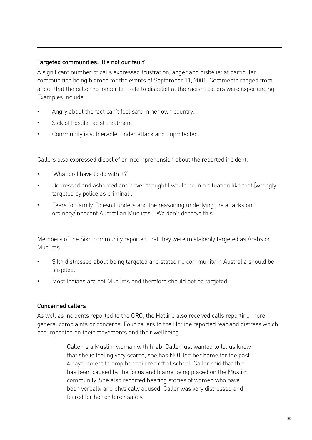#### Targeted communities: 'It's not our fault'

A significant number of calls expressed frustration, anger and disbelief at particular communities being blamed for the events of September 11, 2001. Comments ranged from anger that the caller no longer felt safe to disbelief at the racism callers were experiencing. Examples include:

- Angry about the fact can't feel safe in her own country.
- Sick of hostile racist treatment.
- Community is vulnerable, under attack and unprotected.

Callers also expressed disbelief or incomprehension about the reported incident.

- 'What do I have to do with it?'
- Depressed and ashamed and never thought I would be in a situation like that [wrongly targeted by police as criminal].
- Fears for family. Doesn't understand the reasoning underlying the attacks on ordinary/innocent Australian Muslims. 'We don't deserve this'.

Members of the Sikh community reported that they were mistakenly targeted as Arabs or Muslims.

- Sikh distressed about being targeted and stated no community in Australia should be targeted.
- Most Indians are not Muslims and therefore should not be targeted.

#### Concerned callers

As well as incidents reported to the CRC, the Hotline also received calls reporting more general complaints or concerns. Four callers to the Hotline reported fear and distress which had impacted on their movements and their wellbeing.

> Caller is a Muslim woman with hijab. Caller just wanted to let us know that she is feeling very scared, she has NOT left her home for the past 4 days, except to drop her children off at school. Caller said that this has been caused by the focus and blame being placed on the Muslim community. She also reported hearing stories of women who have been verbally and physically abused. Caller was very distressed and feared for her children safety.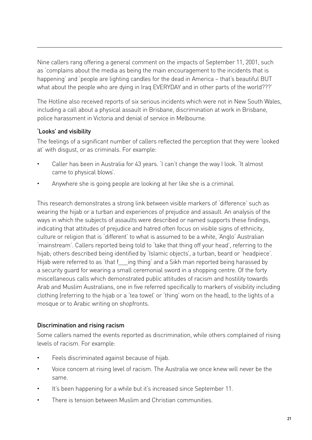Nine callers rang offering a general comment on the impacts of September 11, 2001, such as 'complains about the media as being the main encouragement to the incidents that is happening' and 'people are lighting candles for the dead in America – that's beautiful BUT what about the people who are dying in Iraq EVERYDAY and in other parts of the world???'

The Hotline also received reports of six serious incidents which were not in New South Wales, including a call about a physical assault in Brisbane, discrimination at work in Brisbane, police harassment in Victoria and denial of service in Melbourne.

#### 'Looks' and visibility

The feelings of a significant number of callers reflected the perception that they were 'looked at' with disgust, or as criminals. For example:

- Caller has been in Australia for 43 years. 'I can't change the way I look. 'It almost came to physical blows'.
- Anywhere she is going people are looking at her like she is a criminal.

This research demonstrates a strong link between visible markers of 'difference' such as wearing the hijab or a turban and experiences of prejudice and assault. An analysis of the ways in which the subjects of assaults were described or named supports these findings, indicating that attitudes of prejudice and hatred often focus on visible signs of ethnicity, culture or religion that is 'different' to what is assumed to be a white, 'Anglo' Australian 'mainstream'. Callers reported being told to 'take that thing off your head', referring to the hijab; others described being identified by 'Islamic objects', a turban, beard or 'headpiece'. Hijab were referred to as 'that f ing thing' and a Sikh man reported being harassed by a security guard for wearing a small ceremonial sword in a shopping centre. Of the forty miscellaneous calls which demonstrated public attitudes of racism and hostility towards Arab and Muslim Australians, one in five referred specifically to markers of visibility including clothing (referring to the hijab or a 'tea towel' or 'thing' worn on the head), to the lights of a mosque or to Arabic writing on shopfronts.

#### Discrimination and rising racism

Some callers named the events reported as discrimination, while others complained of rising levels of racism. For example:

- Feels discriminated against because of hijab.
- Voice concern at rising level of racism. The Australia we once knew will never be the same.
- It's been happening for a while but it's increased since September 11.
- There is tension between Muslim and Christian communities.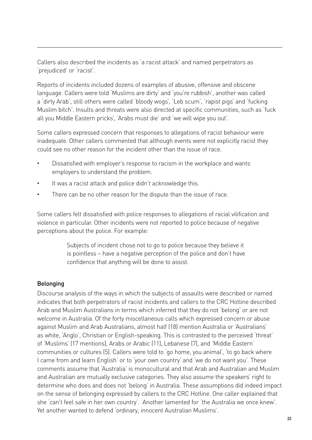Callers also described the incidents as 'a racist attack' and named perpetrators as 'prejudiced' or 'racist'.

Reports of incidents included dozens of examples of abusive, offensive and obscene language. Callers were told 'Muslims are dirty' and 'you're rubbish', another was called a 'dirty Arab', still others were called 'bloody wogs', 'Leb scum', 'rapist pigs' and 'fucking Muslim bitch'. Insults and threats were also directed at specific communities, such as 'fuck all you Middle Eastern pricks', 'Arabs must die' and 'we will wipe you out'.

Some callers expressed concern that responses to allegations of racist behaviour were inadequate. Other callers commented that although events were not explicitly racist they could see no other reason for the incident other than the issue of race.

- Dissatisfied with employer's response to racism in the workplace and wants employers to understand the problem.
- It was a racist attack and police didn't acknowledge this.
- There can be no other reason for the dispute than the issue of race.

Some callers felt dissatisfied with police responses to allegations of racial vilification and violence in particular. Other incidents were not reported to police because of negative perceptions about the police. For example:

> Subjects of incident chose not to go to police because they believe it is pointless – have a negative perception of the police and don't have confidence that anything will be done to assist.

#### Belonging

Discourse analysis of the ways in which the subjects of assaults were described or named indicates that both perpetrators of racist incidents and callers to the CRC Hotline described Arab and Muslim Australians in terms which inferred that they do not 'belong' or are not welcome in Australia. Of the forty miscellaneous calls which expressed concern or abuse against Muslim and Arab Australians, almost half (18) mention Australia or 'Australians' as white, 'Anglo', Christian or English-speaking. This is contrasted to the perceived 'threat' of 'Muslims' (17 mentions), Arabs or Arabic (11), Lebanese (7), and 'Middle Eastern' communities or cultures (5). Callers were told to 'go home, you animal', 'to go back where I came from and learn English' or to 'your own country' and 'we do not want you'. These comments assume that 'Australia' is monocultural and that Arab and Australian and Muslim and Australian are mutually exclusive categories. They also assume the speakers' right to determine who does and does not 'belong' in Australia. These assumptions did indeed impact on the sense of belonging expressed by callers to the CRC Hotline. One caller explained that she 'can't feel safe in her own country'. Another lamented for 'the Australia we once knew'. Yet another wanted to defend 'ordinary, innocent Australian Muslims'.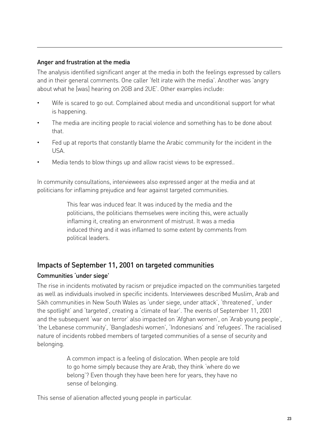#### Anger and frustration at the media

The analysis identified significant anger at the media in both the feelings expressed by callers and in their general comments. One caller 'felt irate with the media'. Another was 'angry about what he [was] hearing on 2GB and 2UE'. Other examples include:

- Wife is scared to go out. Complained about media and unconditional support for what is happening.
- The media are inciting people to racial violence and something has to be done about that.
- Fed up at reports that constantly blame the Arabic community for the incident in the USA.
- Media tends to blow things up and allow racist views to be expressed..

In community consultations, interviewees also expressed anger at the media and at politicians for inflaming prejudice and fear against targeted communities.

> This fear was induced fear. It was induced by the media and the politicians, the politicians themselves were inciting this, were actually inflaming it, creating an environment of mistrust. It was a media induced thing and it was inflamed to some extent by comments from political leaders.

## Impacts of September 11, 2001 on targeted communities

#### Communities 'under siege'

The rise in incidents motivated by racism or prejudice impacted on the communities targeted as well as individuals involved in specific incidents. Interviewees described Muslim, Arab and Sikh communities in New South Wales as 'under siege, under attack', 'threatened', 'under the spotlight' and 'targeted', creating a 'climate of fear'. The events of September 11, 2001 and the subsequent 'war on terror' also impacted on 'Afghan women', on 'Arab young people', 'the Lebanese community', 'Bangladeshi women', 'Indonesians' and 'refugees'. The racialised nature of incidents robbed members of targeted communities of a sense of security and belonging.

> A common impact is a feeling of dislocation. When people are told to go home simply because they are Arab, they think 'where do we belong'? Even though they have been here for years, they have no sense of belonging.

This sense of alienation affected young people in particular.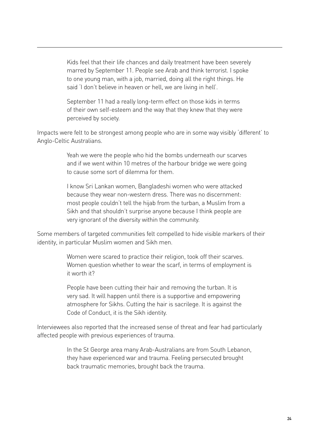Kids feel that their life chances and daily treatment have been severely marred by September 11. People see Arab and think terrorist. I spoke to one young man, with a job, married, doing all the right things. He said 'I don't believe in heaven or hell, we are living in hell'.

September 11 had a really long-term effect on those kids in terms of their own self-esteem and the way that they knew that they were perceived by society.

Impacts were felt to be strongest among people who are in some way visibly 'different' to Anglo-Celtic Australians.

> Yeah we were the people who hid the bombs underneath our scarves and if we went within 10 metres of the harbour bridge we were going to cause some sort of dilemma for them.

I know Sri Lankan women, Bangladeshi women who were attacked because they wear non-western dress. There was no discernment: most people couldn't tell the hijab from the turban, a Muslim from a Sikh and that shouldn't surprise anyone because I think people are very ignorant of the diversity within the community.

Some members of targeted communities felt compelled to hide visible markers of their identity, in particular Muslim women and Sikh men.

> Women were scared to practice their religion, took off their scarves. Women question whether to wear the scarf, in terms of employment is it worth it?

People have been cutting their hair and removing the turban. It is very sad. It will happen until there is a supportive and empowering atmosphere for Sikhs. Cutting the hair is sacrilege. It is against the Code of Conduct, it is the Sikh identity.

Interviewees also reported that the increased sense of threat and fear had particularly affected people with previous experiences of trauma.

> In the St George area many Arab-Australians are from South Lebanon, they have experienced war and trauma. Feeling persecuted brought back traumatic memories, brought back the trauma.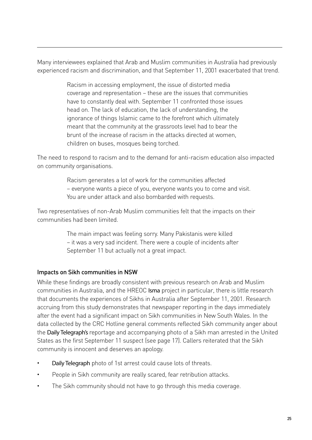Many interviewees explained that Arab and Muslim communities in Australia had previously experienced racism and discrimination, and that September 11, 2001 exacerbated that trend.

> Racism in accessing employment, the issue of distorted media coverage and representation – these are the issues that communities have to constantly deal with. September 11 confronted those issues head on. The lack of education, the lack of understanding, the ignorance of things Islamic came to the forefront which ultimately meant that the community at the grassroots level had to bear the brunt of the increase of racism in the attacks directed at women, children on buses, mosques being torched.

The need to respond to racism and to the demand for anti-racism education also impacted on community organisations.

> Racism generates a lot of work for the communities affected – everyone wants a piece of you, everyone wants you to come and visit. You are under attack and also bombarded with requests.

Two representatives of non-Arab Muslim communities felt that the impacts on their communities had been limited.

> The main impact was feeling sorry. Many Pakistanis were killed – it was a very sad incident. There were a couple of incidents after September 11 but actually not a great impact.

#### Impacts on Sikh communities in NSW

While these findings are broadly consistent with previous research on Arab and Muslim communities in Australia, and the HREOC Isma project in particular, there is little research that documents the experiences of Sikhs in Australia after September 11, 2001. Research accruing from this study demonstrates that newspaper reporting in the days immediately after the event had a significant impact on Sikh communities in New South Wales. In the data collected by the CRC Hotline general comments reflected Sikh community anger about the Daily Telegraph's reportage and accompanying photo of a Sikh man arrested in the United States as the first September 11 suspect (see page 17). Callers reiterated that the Sikh community is innocent and deserves an apology.

- Daily Telegraph photo of 1st arrest could cause lots of threats.
- People in Sikh community are really scared, fear retribution attacks.
- The Sikh community should not have to go through this media coverage.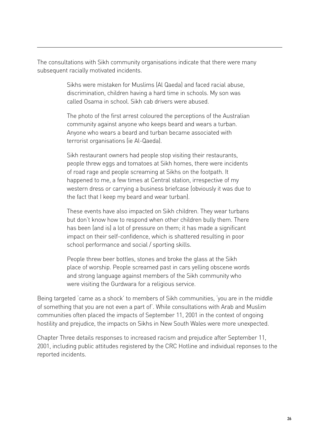The consultations with Sikh community organisations indicate that there were many subsequent racially motivated incidents.

> Sikhs were mistaken for Muslims (Al Qaeda) and faced racial abuse, discrimination, children having a hard time in schools. My son was called Osama in school. Sikh cab drivers were abused.

The photo of the first arrest coloured the perceptions of the Australian community against anyone who keeps beard and wears a turban. Anyone who wears a beard and turban became associated with terrorist organisations (ie Al-Qaeda).

Sikh restaurant owners had people stop visiting their restaurants, people threw eggs and tomatoes at Sikh homes, there were incidents of road rage and people screaming at Sikhs on the footpath. It happened to me, a few times at Central station, irrespective of my western dress or carrying a business briefcase (obviously it was due to the fact that I keep my beard and wear turban).

These events have also impacted on Sikh children. They wear turbans but don't know how to respond when other children bully them. There has been (and is) a lot of pressure on them; it has made a significant impact on their self-confidence, which is shattered resulting in poor school performance and social / sporting skills.

People threw beer bottles, stones and broke the glass at the Sikh place of worship. People screamed past in cars yelling obscene words and strong language against members of the Sikh community who were visiting the Gurdwara for a religious service.

Being targeted 'came as a shock' to members of Sikh communities, 'you are in the middle of something that you are not even a part of'. While consultations with Arab and Muslim communities often placed the impacts of September 11, 2001 in the context of ongoing hostility and prejudice, the impacts on Sikhs in New South Wales were more unexpected.

Chapter Three details responses to increased racism and prejudice after September 11, 2001, including public attitudes registered by the CRC Hotline and individual reponses to the reported incidents.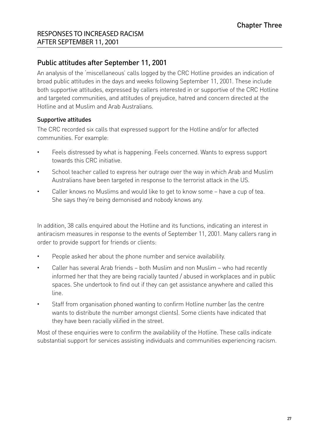#### Public attitudes after September 11, 2001

An analysis of the 'miscellaneous' calls logged by the CRC Hotline provides an indication of broad public attitudes in the days and weeks following September 11, 2001. These include both supportive attitudes, expressed by callers interested in or supportive of the CRC Hotline and targeted communities, and attitudes of prejudice, hatred and concern directed at the Hotline and at Muslim and Arab Australians.

#### Supportive attitudes

The CRC recorded six calls that expressed support for the Hotline and/or for affected communities. For example:

- Feels distressed by what is happening. Feels concerned. Wants to express support towards this CRC initiative.
- School teacher called to express her outrage over the way in which Arab and Muslim Australians have been targeted in response to the terrorist attack in the US.
- Caller knows no Muslims and would like to get to know some have a cup of tea. She says they're being demonised and nobody knows any.

In addition, 38 calls enquired about the Hotline and its functions, indicating an interest in antiracism measures in response to the events of September 11, 2001. Many callers rang in order to provide support for friends or clients:

- People asked her about the phone number and service availability.
- Caller has several Arab friends both Muslim and non Muslim who had recently informed her that they are being racially taunted / abused in workplaces and in public spaces. She undertook to find out if they can get assistance anywhere and called this line.
- Staff from organisation phoned wanting to confirm Hotline number (as the centre wants to distribute the number amongst clients). Some clients have indicated that they have been racially vilified in the street.

Most of these enquiries were to confirm the availability of the Hotline. These calls indicate substantial support for services assisting individuals and communities experiencing racism.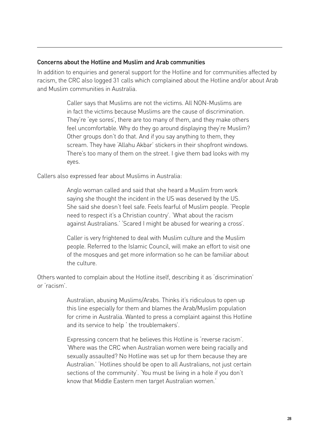#### Concerns about the Hotline and Muslim and Arab communities

In addition to enquiries and general support for the Hotline and for communities affected by racism, the CRC also logged 31 calls which complained about the Hotline and/or about Arab and Muslim communities in Australia.

> Caller says that Muslims are not the victims. All NON-Muslims are in fact the victims because Muslims are the cause of discrimination. They're 'eye sores', there are too many of them, and they make others feel uncomfortable. Why do they go around displaying they're Muslim? Other groups don't do that. And if you say anything to them, they scream. They have 'Allahu Akbar' stickers in their shopfront windows. There's too many of them on the street. I give them bad looks with my eyes.

Callers also expressed fear about Muslims in Australia:

Anglo woman called and said that she heard a Muslim from work saying she thought the incident in the US was deserved by the US. She said she doesn't feel safe. Feels fearful of Muslim people. 'People need to respect it's a Christian country'. 'What about the racism against Australians.' 'Scared I might be abused for wearing a cross'.

Caller is very frightened to deal with Muslim culture and the Muslim people. Referred to the Islamic Council, will make an effort to visit one of the mosques and get more information so he can be familiar about the culture.

Others wanted to complain about the Hotline itself, describing it as 'discrimination' or 'racism'.

> Australian, abusing Muslims/Arabs. Thinks it's ridiculous to open up this line especially for them and blames the Arab/Muslim population for crime in Australia. Wanted to press a complaint against this Hotline and its service to help ' the troublemakers'.

> Expressing concern that he believes this Hotline is 'reverse racism'. 'Where was the CRC when Australian women were being racially and sexually assaulted? No Hotline was set up for them because they are Australian.' 'Hotlines should be open to all Australians, not just certain sections of the community'. 'You must be living in a hole if you don't know that Middle Eastern men target Australian women.'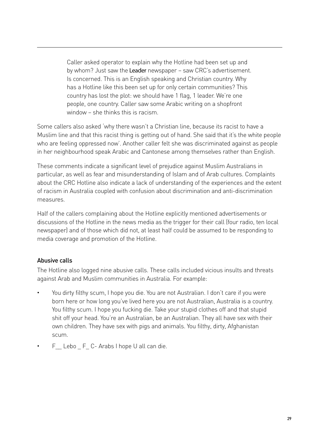Caller asked operator to explain why the Hotline had been set up and by whom? Just saw the Leader newspaper - saw CRC's advertisement. Is concerned. This is an English speaking and Christian country. Why has a Hotline like this been set up for only certain communities? This country has lost the plot: we should have 1 flag, 1 leader. We're one people, one country. Caller saw some Arabic writing on a shopfront window – she thinks this is racism.

Some callers also asked 'why there wasn't a Christian line, because its racist to have a Muslim line and that this racist thing is getting out of hand. She said that it's the white people who are feeling oppressed now'. Another caller felt she was discriminated against as people in her neighbourhood speak Arabic and Cantonese among themselves rather than English.

These comments indicate a significant level of prejudice against Muslim Australians in particular, as well as fear and misunderstanding of Islam and of Arab cultures. Complaints about the CRC Hotline also indicate a lack of understanding of the experiences and the extent of racism in Australia coupled with confusion about discrimination and anti-discrimination measures.

Half of the callers complaining about the Hotline explicitly mentioned advertisements or discussions of the Hotline in the news media as the trigger for their call (four radio, ten local newspaper) and of those which did not, at least half could be assumed to be responding to media coverage and promotion of the Hotline.

#### Abusive calls

The Hotline also logged nine abusive calls. These calls included vicious insults and threats against Arab and Muslim communities in Australia. For example:

- You dirty filthy scum, I hope you die. You are not Australian. I don't care if you were born here or how long you've lived here you are not Australian, Australia is a country. You filthy scum. I hope you fucking die. Take your stupid clothes off and that stupid shit off your head. You're an Australian, be an Australian. They all have sex with their own children. They have sex with pigs and animals. You filthy, dirty, Afghanistan scum.
- F Lebo F C- Arabs I hope U all can die.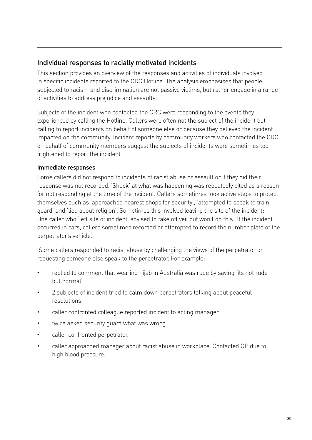#### Individual responses to racially motivated incidents

This section provides an overview of the responses and activities of individuals involved in specific incidents reported to the CRC Hotline. The analysis emphasises that people subjected to racism and discrimination are not passive victims, but rather engage in a range of activities to address prejudice and assaults.

Subjects of the incident who contacted the CRC were responding to the events they experienced by calling the Hotline. Callers were often not the subject of the incident but calling to report incidents on behalf of someone else or because they believed the incident impacted on the community. Incident reports by community workers who contacted the CRC on behalf of community members suggest the subjects of incidents were sometimes too frightened to report the incident.

#### Immediate responses

Some callers did not respond to incidents of racist abuse or assault or if they did their response was not recorded. 'Shock' at what was happening was repeatedly cited as a reason for not responding at the time of the incident. Callers sometimes took active steps to protect themselves such as 'approached nearest shops for security', 'attempted to speak to train guard' and 'lied about religion'. Sometimes this involved leaving the site of the incident: One caller who 'left site of incident, advised to take off veil but won't do this'. If the incident occurred in cars, callers sometimes recorded or attempted to record the number plate of the perpetrator's vehicle.

 Some callers responded to racist abuse by challenging the views of the perpetrator or requesting someone else speak to the perpetrator. For example:

- replied to comment that wearing hijab in Australia was rude by saying 'its not rude but normal'.
- 2 subjects of incident tried to calm down perpetrators talking about peaceful resolutions.
- caller confronted colleague reported incident to acting manager.
- twice asked security quard what was wrong.
- caller confronted perpetrator.
- caller approached manager about racist abuse in workplace. Contacted GP due to high blood pressure.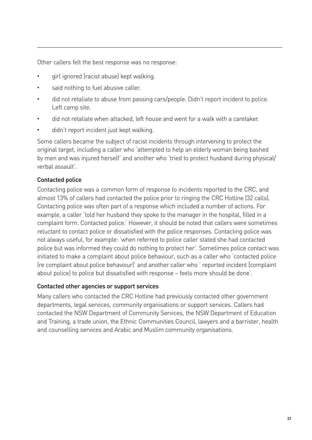Other callers felt the best response was no response:

- girl ignored [racist abuse] kept walking.
- said nothing to fuel abusive caller.
- did not retaliate to abuse from passing cars/people. Didn't report incident to police. Left camp site.
- did not retaliate when attacked, left house and went for a walk with a caretaker.
- didn't report incident just kept walking.

Some callers became the subject of racist incidents through intervening to protect the original target, including a caller who 'attempted to help an elderly woman being bashed by men and was injured herself' and another who 'tried to protect husband during physical/ verbal assault'.

#### Contacted police

Contacting police was a common form of response to incidents reported to the CRC, and almost 13% of callers had contacted the police prior to ringing the CRC Hotline (32 calls). Contacting police was often part of a response which included a number of actions. For example, a caller 'told her husband they spoke to the manager in the hospital, filled in a complaint form. Contacted police.' However, it should be noted that callers were sometimes reluctant to contact police or dissatisfied with the police responses. Contacting police was not always useful, for example: 'when referred to police caller stated she had contacted police but was informed they could do nothing to protect her'. Sometimes police contact was initiated to make a complaint about police behaviour, such as a caller who 'contacted police (re complaint about police behaviour)' and another caller who ' reported incident [complaint about police] to police but dissatisfied with response – feels more should be done'.

#### Contacted other agencies or support services

Many callers who contacted the CRC Hotline had previously contacted other government departments, legal services, community organisations or support services. Callers had contacted the NSW Department of Community Services, the NSW Department of Education and Training, a trade union, the Ethnic Communities Council, lawyers and a barrister, health and counselling services and Arabic and Muslim community organisations.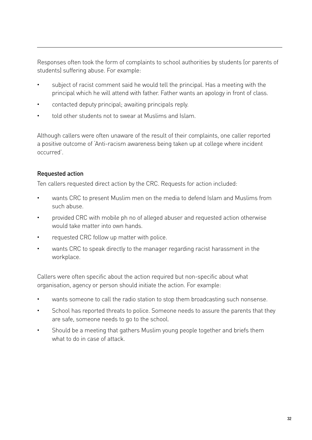Responses often took the form of complaints to school authorities by students (or parents of students) suffering abuse. For example:

- subject of racist comment said he would tell the principal. Has a meeting with the principal which he will attend with father. Father wants an apology in front of class.
- contacted deputy principal; awaiting principals reply.
- told other students not to swear at Muslims and Islam.

Although callers were often unaware of the result of their complaints, one caller reported a positive outcome of 'Anti-racism awareness being taken up at college where incident occurred'.

#### Requested action

Ten callers requested direct action by the CRC. Requests for action included:

- wants CRC to present Muslim men on the media to defend Islam and Muslims from such abuse.
- provided CRC with mobile ph no of alleged abuser and requested action otherwise would take matter into own hands.
- requested CRC follow up matter with police.
- wants CRC to speak directly to the manager regarding racist harassment in the workplace.

Callers were often specific about the action required but non-specific about what organisation, agency or person should initiate the action. For example:

- wants someone to call the radio station to stop them broadcasting such nonsense.
- School has reported threats to police. Someone needs to assure the parents that they are safe, someone needs to go to the school.
- Should be a meeting that gathers Muslim young people together and briefs them what to do in case of attack.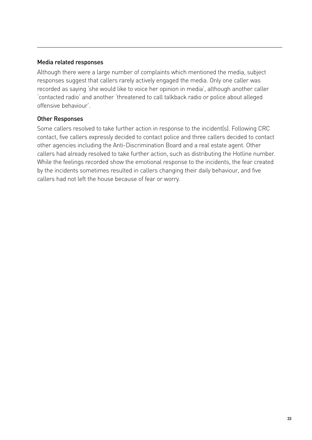#### Media related responses

Although there were a large number of complaints which mentioned the media, subject responses suggest that callers rarely actively engaged the media. Only one caller was recorded as saying 'she would like to voice her opinion in media', although another caller 'contacted radio' and another 'threatened to call talkback radio or police about alleged offensive behaviour'.

#### Other Responses

Some callers resolved to take further action in response to the incident(s). Following CRC contact, five callers expressly decided to contact police and three callers decided to contact other agencies including the Anti-Discrimination Board and a real estate agent. Other callers had already resolved to take further action, such as distributing the Hotline number. While the feelings recorded show the emotional response to the incidents, the fear created by the incidents sometimes resulted in callers changing their daily behaviour, and five callers had not left the house because of fear or worry.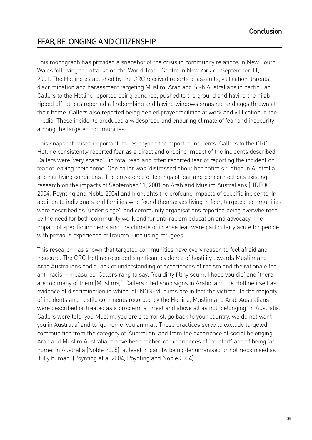## Fear, belonging and citizenship

This monograph has provided a snapshot of the crisis in community relations in New South Wales following the attacks on the World Trade Centre in New York on September 11, 2001. The Hotline established by the CRC received reports of assaults, vilification, threats, discrimination and harassment targeting Muslim, Arab and Sikh Australians in particular. Callers to the Hotline reported being punched, pushed to the ground and having the hijab ripped off; others reported a firebombing and having windows smashed and eggs thrown at their home. Callers also reported being denied prayer facilities at work and vilification in the media. These incidents produced a widespread and enduring climate of fear and insecurity among the targeted communities.

This snapshot raises important issues beyond the reported incidents. Callers to the CRC Hotline consistently reported fear as a direct and ongoing impact of the incidents described. Callers were 'very scared', 'in total fear' and often reported fear of reporting the incident or fear of leaving their home. One caller was 'distressed about her entire situation in Australia and her living conditions'. The prevalence of feelings of fear and concern echoes existing research on the impacts of September 11, 2001 on Arab and Muslim Australians (HREOC 2004, Poynting and Noble 2004) and highlights the profound impacts of specific incidents. In addition to individuals and families who found themselves living in fear, targeted communities were described as 'under siege', and community organisations reported being overwhelmed by the need for both community work and for anti-racism education and advocacy. The impact of specific incidents and the climate of intense fear were particularly acute for people with previous experience of trauma - including refugees.

This research has shown that targeted communities have every reason to feel afraid and insecure. The CRC Hotline recorded significant evidence of hostility towards Muslim and Arab Australians and a lack of understanding of experiences of racism and the rationale for anti-racism measures. Callers rang to say, 'You dirty filthy scum, I hope you die' and 'there are too many of them [Muslims]'. Callers cited shop signs in Arabic and the Hotline itself as evidence of discrimination in which 'all NON-Muslims are in fact the victims'. In the majority of incidents and hostile comments recorded by the Hotline, Muslim and Arab Australians were described or treated as a problem, a threat and above all as not 'belonging' in Australia. Callers were told 'you Muslim, you are a terrorist, go back to your country, we do not want you in Australia' and to 'go home, you animal'. These practices serve to exclude targeted communities from the category of 'Australian' and from the experience of social belonging. Arab and Muslim Australians have been robbed of experiences of 'comfort' and of being 'at home' in Australia (Noble 2005), at least in part by being dehumanised or not recognised as 'fully human' (Poynting et al 2004, Poynting and Noble 2004).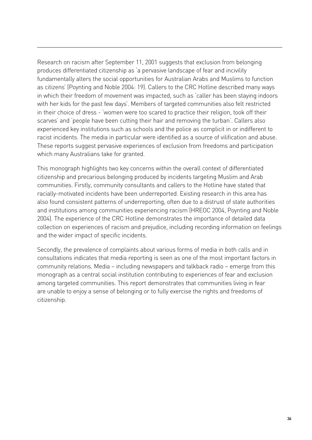Research on racism after September 11, 2001 suggests that exclusion from belonging produces differentiated citizenship as 'a pervasive landscape of fear and incivility fundamentally alters the social opportunities for Australian Arabs and Muslims to function as citizens' (Poynting and Noble 2004: 19). Callers to the CRC Hotline described many ways in which their freedom of movement was impacted, such as 'caller has been staying indoors with her kids for the past few days'. Members of targeted communities also felt restricted in their choice of dress - 'women were too scared to practice their religion, took off their scarves' and 'people have been cutting their hair and removing the turban'. Callers also experienced key institutions such as schools and the police as complicit in or indifferent to racist incidents. The media in particular were identified as a source of vilification and abuse. These reports suggest pervasive experiences of exclusion from freedoms and participation which many Australians take for granted.

This monograph highlights two key concerns within the overall context of differentiated citizenship and precarious belonging produced by incidents targeting Muslim and Arab communities. Firstly, community consultants and callers to the Hotline have stated that racially-motivated incidents have been underreported. Existing research in this area has also found consistent patterns of underreporting, often due to a distrust of state authorities and institutions among communities experiencing racism (HREOC 2004, Poynting and Noble 2004). The experience of the CRC Hotline demonstrates the importance of detailed data collection on experiences of racism and prejudice, including recording information on feelings and the wider impact of specific incidents.

Secondly, the prevalence of complaints about various forms of media in both calls and in consultations indicates that media reporting is seen as one of the most important factors in community relations. Media – including newspapers and talkback radio – emerge from this monograph as a central social institution contributing to experiences of fear and exclusion among targeted communities. This report demonstrates that communities living in fear are unable to enjoy a sense of belonging or to fully exercise the rights and freedoms of citizenship.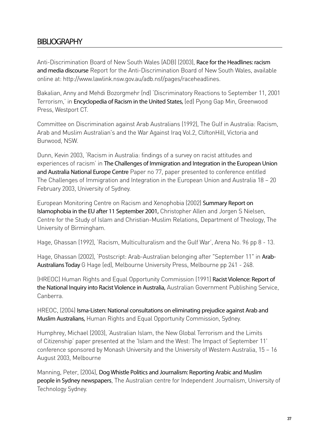### BIBLIOGRAPHY

Anti-Discrimination Board of New South Wales (ADB) (2003), Race for the Headlines: racism and media discourse Report for the Anti-Discrimination Board of New South Wales, available online at: http://www.lawlink.nsw.gov.au/adb.nsf/pages/raceheadlines.

Bakalian, Anny and Mehdi Bozorgmehr (nd) 'Discriminatory Reactions to September 11, 2001 Terrorism,' in Encyclopedia of Racism in the United States, (ed) Pyong Gap Min, Greenwood Press, Westport CT.

Committee on Discrimination against Arab Australians (1992), The Gulf in Australia: Racism, Arab and Muslim Australian's and the War Against Iraq Vol.2, CliftonHill, Victoria and Burwood, NSW.

Dunn, Kevin 2003, 'Racism in Australia: findings of a survey on racist attitudes and experiences of racism' in The Challenges of Immigration and Integration in the European Union and Australia National Europe Centre Paper no 77, paper presented to conference entitled The Challenges of Immigration and Integration in the European Union and Australia 18 – 20 February 2003, University of Sydney.

European Monitoring Centre on Racism and Xenophobia (2002) Summary Report on Islamophobia in the EU after 11 September 2001, Christopher Allen and Jorgen S Nielsen, Centre for the Study of Islam and Christian-Muslim Relations, Department of Theology, The University of Birmingham.

Hage, Ghassan (1992), 'Racism, Multiculturalism and the Gulf War', Arena No. 96 pp 8 - 13.

Hage, Ghassan (2002), 'Postscript: Arab-Australian belonging after "September 11" in Arab-Australians Today G Hage (ed), Melbourne University Press, Melbourne pp 241 - 248.

(HREOC) Human Rights and Equal Opportunity Commission (1991) Racist Violence: Report of the National Inquiry into Racist Violence in Australia, Australian Government Publishing Service, Canberra.

HREOC, (2004) Isma-Listen: National consultations on eliminating prejudice against Arab and Muslim Australians, Human Rights and Equal Opportunity Commission, Sydney.

Humphrey, Michael (2003), 'Australian Islam, the New Global Terrorism and the Limits of Citizenship' paper presented at the 'Islam and the West: The Impact of September 11' conference sponsored by Monash University and the University of Western Australia, 15 – 16 August 2003, Melbourne

Manning, Peter, (2004), Dog Whistle Politics and Journalism: Reporting Arabic and Muslim people in Sydney newspapers, The Australian centre for Independent Journalism, University of Technology Sydney.